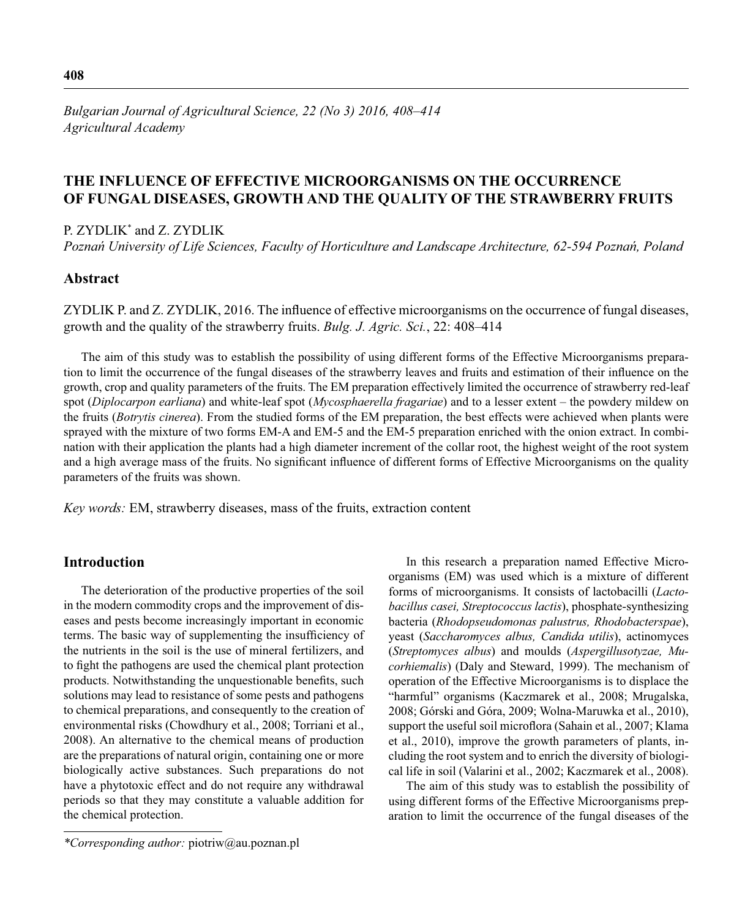*Bulgarian Journal of Agricultural Science, 22 (No 3) 2016, 408–414 Agricultural Academy*

# **THE INFLUENCE OF EFFECTIVE MICROORGANISMS ON THE OCCURRENCE OF FUNGAL DISEASES, GROWTH AND THE QUALITY OF THE STRAWBERRY FRUITS**

P. ZYDLIK\* and Z. ZYDLIK

*Poznań University of Life Sciences, Faculty of Horticulture and Landscape Architecture, 62-594 Poznań, Poland*

# **Abstract**

ZYDLIK P. and Z. ZYDLIK, 2016. The influence of effective microorganisms on the occurrence of fungal diseases, growth and the quality of the strawberry fruits. *Bulg. J. Agric. Sci.*, 22: 408–414

The aim of this study was to establish the possibility of using different forms of the Effective Microorganisms preparation to limit the occurrence of the fungal diseases of the strawberry leaves and fruits and estimation of their influence on the growth, crop and quality parameters of the fruits. The EM preparation effectively limited the occurrence of strawberry red-leaf spot (*Diplocarpon earliana*) and white-leaf spot (*Mycosphaerella fragariae*) and to a lesser extent – the powdery mildew on the fruits (*Botrytis cinerea*). From the studied forms of the EM preparation, the best effects were achieved when plants were sprayed with the mixture of two forms EM-A and EM-5 and the EM-5 preparation enriched with the onion extract. In combination with their application the plants had a high diameter increment of the collar root, the highest weight of the root system and a high average mass of the fruits. No significant influence of different forms of Effective Microorganisms on the quality parameters of the fruits was shown.

*Key words:* EM, strawberry diseases, mass of the fruits, extraction content

## **Introduction**

The deterioration of the productive properties of the soil in the modern commodity crops and the improvement of diseases and pests become increasingly important in economic terms. The basic way of supplementing the insufficiency of the nutrients in the soil is the use of mineral fertilizers, and to fight the pathogens are used the chemical plant protection products. Notwithstanding the unquestionable benefits, such solutions may lead to resistance of some pests and pathogens to chemical preparations, and consequently to the creation of environmental risks (Chowdhury et al., 2008; Torriani et al., 2008). An alternative to the chemical means of production are the preparations of natural origin, containing one or more biologically active substances. Such preparations do not have a phytotoxic effect and do not require any withdrawal periods so that they may constitute a valuable addition for the chemical protection.

In this research a preparation named Effective Microorganisms (EM) was used which is a mixture of different forms of microorganisms. It consists of lactobacilli (*Lactobacillus casei, Streptococcus lactis*), phosphate-synthesizing bacteria (*Rhodopseudomonas palustrus, Rhodobacterspae*), yeast (*Saccharomyces albus, Candida utilis*), actinomyces (*Streptomyces albus*) and moulds (*Aspergillusotyzae, Mucorhiemalis*) (Daly and Steward, 1999). The mechanism of operation of the Effective Microorganisms is to displace the "harmful" organisms (Kaczmarek et al., 2008; Mrugalska, 2008; Górski and Góra, 2009; Wolna-Maruwka et al., 2010), support the useful soil microflora (Sahain et al., 2007; Klama et al., 2010), improve the growth parameters of plants, including the root system and to enrich the diversity of biological life in soil (Valarini et al., 2002; Kaczmarek et al., 2008).

The aim of this study was to establish the possibility of using different forms of the Effective Microorganisms preparation to limit the occurrence of the fungal diseases of the

*<sup>\*</sup>Corresponding author:* piotriw@au.poznan.pl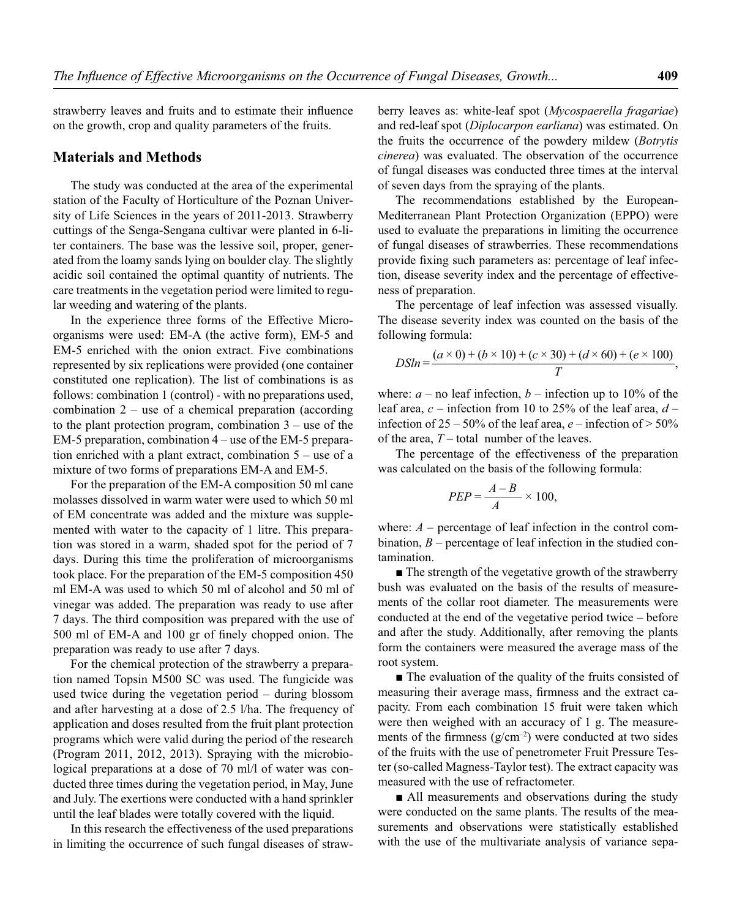strawberry leaves and fruits and to estimate their influence on the growth, crop and quality parameters of the fruits.

### **Materials and Methods**

The study was conducted at the area of the experimental station of the Faculty of Horticulture of the Poznan University of Life Sciences in the years of 2011-2013. Strawberry cuttings of the Senga-Sengana cultivar were planted in 6-liter containers. The base was the lessive soil, proper, generated from the loamy sands lying on boulder clay. The slightly acidic soil contained the optimal quantity of nutrients. The care treatments in the vegetation period were limited to regular weeding and watering of the plants.

In the experience three forms of the Effective Microorganisms were used: EM-A (the active form), EM-5 and EM-5 enriched with the onion extract. Five combinations represented by six replications were provided (one container constituted one replication). The list of combinations is as follows: combination 1 (control) - with no preparations used, combination  $2 -$  use of a chemical preparation (according to the plant protection program, combination 3 – use of the EM-5 preparation, combination 4 – use of the EM-5 preparation enriched with a plant extract, combination 5 – use of a mixture of two forms of preparations EM-A and EM-5.

For the preparation of the EM-A composition 50 ml cane molasses dissolved in warm water were used to which 50 ml of EM concentrate was added and the mixture was supplemented with water to the capacity of 1 litre. This preparation was stored in a warm, shaded spot for the period of 7 days. During this time the proliferation of microorganisms took place. For the preparation of the EM-5 composition 450 ml EM-A was used to which 50 ml of alcohol and 50 ml of vinegar was added. The preparation was ready to use after 7 days. The third composition was prepared with the use of 500 ml of EM-A and 100 gr of finely chopped onion. The preparation was ready to use after 7 days.

For the chemical protection of the strawberry a preparation named Topsin M500 SC was used. The fungicide was used twice during the vegetation period – during blossom and after harvesting at a dose of 2.5 l/ha. The frequency of application and doses resulted from the fruit plant protection programs which were valid during the period of the research (Program 2011, 2012, 2013). Spraying with the microbiological preparations at a dose of 70 ml/l of water was conducted three times during the vegetation period, in May, June and July. The exertions were conducted with a hand sprinkler until the leaf blades were totally covered with the liquid.

In this research the effectiveness of the used preparations in limiting the occurrence of such fungal diseases of strawberry leaves as: white-leaf spot (*Mycospaerella fragariae*) and red-leaf spot (*Diplocarpon earliana*) was estimated. On the fruits the occurrence of the powdery mildew (*Botrytis cinerea*) was evaluated. The observation of the occurrence of fungal diseases was conducted three times at the interval of seven days from the spraying of the plants.

The recommendations established by the European-Mediterranean Plant Protection Organization (EPPO) were used to evaluate the preparations in limiting the occurrence of fungal diseases of strawberries. These recommendations provide fixing such parameters as: percentage of leaf infection, disease severity index and the percentage of effectiveness of preparation.

The percentage of leaf infection was assessed visually. The disease severity index was counted on the basis of the following formula:

$$
DSln = \frac{(a \times 0) + (b \times 10) + (c \times 30) + (d \times 60) + (e \times 100)}{T},
$$

where:  $a -$  no leaf infection,  $b -$  infection up to 10% of the leaf area, *c* – infection from 10 to 25% of the leaf area, *d* – infection of  $25 - 50\%$  of the leaf area,  $e$  – infection of  $> 50\%$ of the area, *T* – total number of the leaves.

The percentage of the effectiveness of the preparation was calculated on the basis of the following formula:

$$
PEP = \frac{A-B}{A} \times 100,
$$

where:  $A$  – percentage of leaf infection in the control combination, *B* – percentage of leaf infection in the studied contamination.

■ The strength of the vegetative growth of the strawberry bush was evaluated on the basis of the results of measurements of the collar root diameter. The measurements were conducted at the end of the vegetative period twice – before and after the study. Additionally, after removing the plants form the containers were measured the average mass of the root system.

■ The evaluation of the quality of the fruits consisted of measuring their average mass, firmness and the extract capacity. From each combination 15 fruit were taken which were then weighed with an accuracy of 1 g. The measurements of the firmness  $(g/cm^{-2})$  were conducted at two sides of the fruits with the use of penetrometer Fruit Pressure Tester (so-called Magness-Taylor test). The extract capacity was measured with the use of refractometer.

■ All measurements and observations during the study were conducted on the same plants. The results of the measurements and observations were statistically established with the use of the multivariate analysis of variance sepa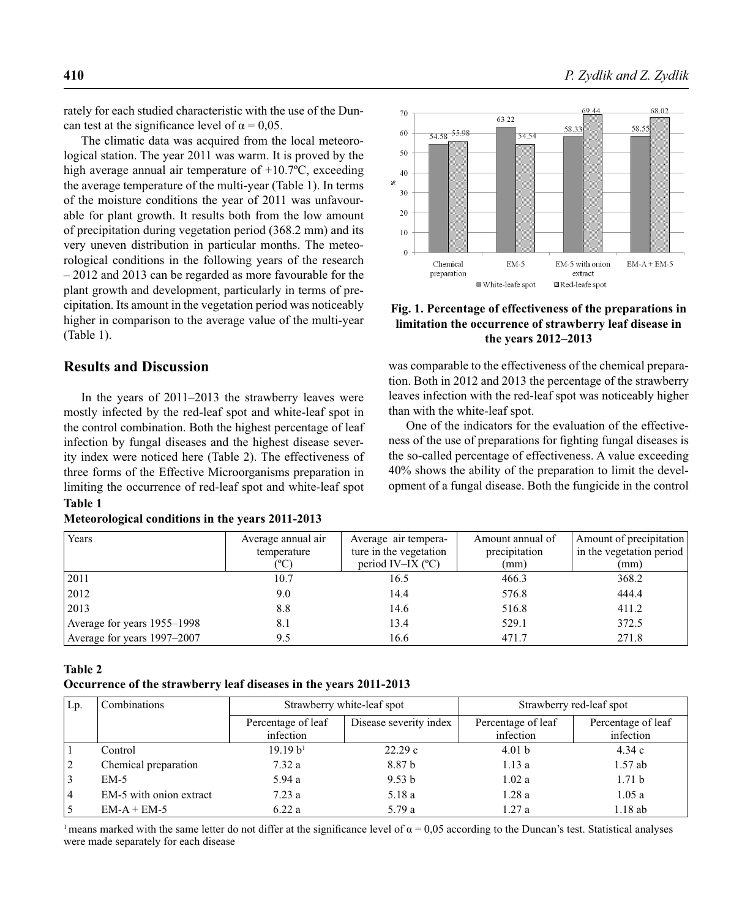rately for each studied characteristic with the use of the Duncan test at the significance level of  $\alpha = 0.05$ .

The climatic data was acquired from the local meteorological station. The year 2011 was warm. It is proved by the high average annual air temperature of +10.7ºC, exceeding the average temperature of the multi-year (Table 1). In terms of the moisture conditions the year of 2011 was unfavourable for plant growth. It results both from the low amount of precipitation during vegetation period (368.2 mm) and its very uneven distribution in particular months. The meteorological conditions in the following years of the research – 2012 and 2013 can be regarded as more favourable for the plant growth and development, particularly in terms of precipitation. Its amount in the vegetation period was noticeably higher in comparison to the average value of the multi-year (Table 1).

# **Results and Discussion**

In the years of 2011–2013 the strawberry leaves were mostly infected by the red-leaf spot and white-leaf spot in the control combination. Both the highest percentage of leaf infection by fungal diseases and the highest disease severity index were noticed here (Table 2). The effectiveness of three forms of the Effective Microorganisms preparation in limiting the occurrence of red-leaf spot and white-leaf spot **Table 1**

|  |  | Meteorological conditions in the years 2011-2013 |  |
|--|--|--------------------------------------------------|--|
|--|--|--------------------------------------------------|--|



### **Fig. 1. Percentage of effectiveness of the preparations in limitation the occurrence of strawberry leaf disease in the years 2012–2013**

was comparable to the effectiveness of the chemical preparation. Both in 2012 and 2013 the percentage of the strawberry leaves infection with the red-leaf spot was noticeably higher than with the white-leaf spot.

One of the indicators for the evaluation of the effectiveness of the use of preparations for fighting fungal diseases is the so-called percentage of effectiveness. A value exceeding 40% shows the ability of the preparation to limit the development of a fungal disease. Both the fungicide in the control

| Years                       | Average annual air | Average air tempera-       | Amount annual of | Amount of precipitation  |
|-----------------------------|--------------------|----------------------------|------------------|--------------------------|
|                             | temperature        | ture in the vegetation     | precipitation    | in the vegetation period |
|                             | °C)                | period IV-IX $(^{\circ}C)$ | (mm)             | (mm)                     |
| 2011                        | 10.7               | 16.5                       | 466.3            | 368.2                    |
| 2012                        | 9.0                | 14.4                       | 576.8            | 444.4                    |
| 2013                        | 8.8                | 14.6                       | 516.8            | 411.2                    |
| Average for years 1955–1998 | 8.1                | 13.4                       | 529.1            | 372.5                    |
| Average for years 1997-2007 | 9.5                | 16.6                       | 471.7            | 271.8                    |

70

#### **Table 2**

**Occurrence of the strawberry leaf diseases in the years 2011-2013**

| Lp.            | Combinations            | Strawberry white-leaf spot      |                        |                                 | Strawberry red-leaf spot        |
|----------------|-------------------------|---------------------------------|------------------------|---------------------------------|---------------------------------|
|                |                         | Percentage of leaf<br>infection | Disease severity index | Percentage of leaf<br>infection | Percentage of leaf<br>infection |
|                | Control                 | 19.19 h <sup>1</sup>            | 22.29c                 | 4.01 <sub>b</sub>               | 4.34c                           |
| 2              | Chemical preparation    | 7.32a                           | 8.87 b                 | 1.13a                           | $1.57$ ab                       |
| $\overline{3}$ | $EM-5$                  | 5.94a                           | 9.53 b                 | 1.02a                           | 1.71 <sub>b</sub>               |
| $\vert 4$      | EM-5 with onion extract | 7.23a                           | 5.18 a                 | 1.28a                           | 1.05a                           |
| . 5            | $EM-A + EM-5$           | 6.22a                           | 5.79a                  | 1.27a                           | 1.18ab                          |

<sup>1</sup> means marked with the same letter do not differ at the significance level of  $\alpha = 0.05$  according to the Duncan's test. Statistical analyses were made separately for each disease

68.02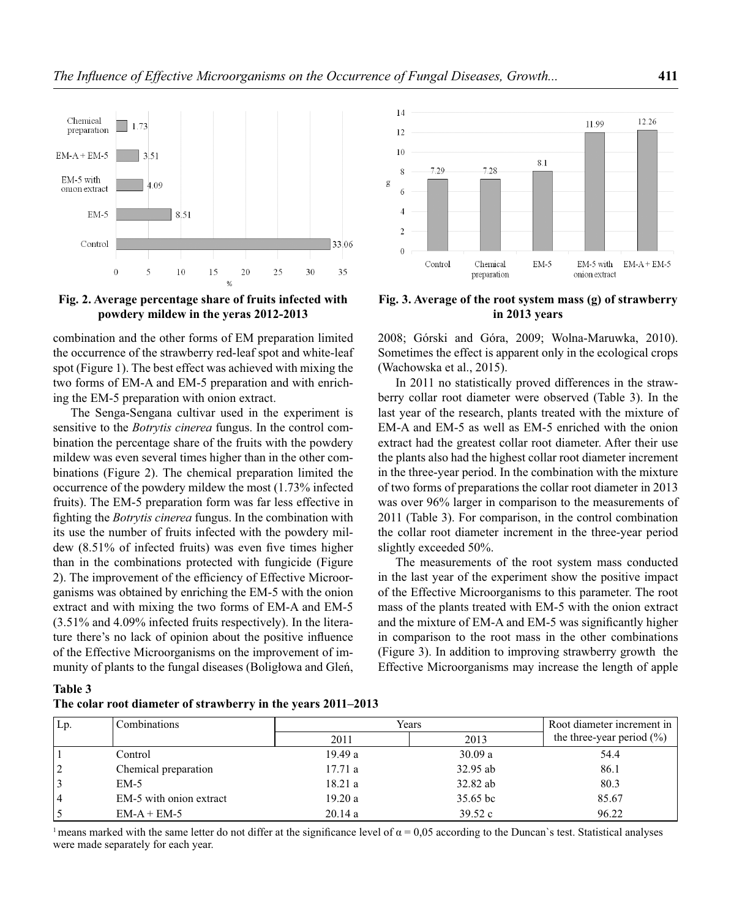

#### **Fig. 2. Average percentage share of fruits infected with powdery mildew in the yeras 2012-2013**

combination and the other forms of EM preparation limited the occurrence of the strawberry red-leaf spot and white-leaf spot (Figure 1). The best effect was achieved with mixing the two forms of EM-A and EM-5 preparation and with enriching the EM-5 preparation with onion extract.

The Senga-Sengana cultivar used in the experiment is sensitive to the *Botrytis cinerea* fungus. In the control combination the percentage share of the fruits with the powdery mildew was even several times higher than in the other combinations (Figure 2). The chemical preparation limited the occurrence of the powdery mildew the most (1.73% infected fruits). The EM-5 preparation form was far less effective in fighting the *Botrytis cinerea* fungus. In the combination with its use the number of fruits infected with the powdery mildew  $(8.51\%$  of infected fruits) was even five times higher than in the combinations protected with fungicide (Figure 2). The improvement of the efficiency of Effective Microorganisms was obtained by enriching the EM-5 with the onion extract and with mixing the two forms of EM-A and EM-5 (3.51% and 4.09% infected fruits respectively). In the literature there's no lack of opinion about the positive influence of the Effective Microorganisms on the improvement of immunity of plants to the fungal diseases (Boligłowa and Gleń,



**Fig. 3. Average of the root system mass (g) of strawberry in 2013 years**

2008; Górski and Góra, 2009; Wolna-Maruwka, 2010). Sometimes the effect is apparent only in the ecological crops (Wachowska et al., 2015).

In 2011 no statistically proved differences in the strawberry collar root diameter were observed (Table 3). In the last year of the research, plants treated with the mixture of EM-A and EM-5 as well as EM-5 enriched with the onion extract had the greatest collar root diameter. After their use the plants also had the highest collar root diameter increment in the three-year period. In the combination with the mixture of two forms of preparations the collar root diameter in 2013 was over 96% larger in comparison to the measurements of 2011 (Table 3). For comparison, in the control combination the collar root diameter increment in the three-year period slightly exceeded 50%.

The measurements of the root system mass conducted in the last year of the experiment show the positive impact of the Effective Microorganisms to this parameter. The root mass of the plants treated with EM-5 with the onion extract and the mixture of EM-A and EM-5 was significantly higher in comparison to the root mass in the other combinations (Figure 3). In addition to improving strawberry growth the Effective Microorganisms may increase the length of apple

| `able |  |
|-------|--|
|-------|--|

| The colar root diameter of strawberry in the years 2011–2013 |  |  |  |  |  |
|--------------------------------------------------------------|--|--|--|--|--|
|--------------------------------------------------------------|--|--|--|--|--|

| Lp. | Combinations            | Years  |            | Root diameter increment in    |
|-----|-------------------------|--------|------------|-------------------------------|
|     |                         | 2011   | 2013       | the three-year period $(\% )$ |
|     | Control                 | 19.49a | 30.09a     | 54.4                          |
|     | Chemical preparation    | 17.71a | 32.95 ab   | 86.1                          |
|     | $EM-5$                  | 18.21a | 32.82 ab   | 80.3                          |
|     | EM-5 with onion extract | 19.20a | $35.65$ bc | 85.67                         |
|     | $EM-A + EM-5$           | 20.14a | 39.52c     | 96.22                         |

<sup>1</sup> means marked with the same letter do not differ at the significance level of  $\alpha = 0.05$  according to the Duncan's test. Statistical analyses were made separately for each year.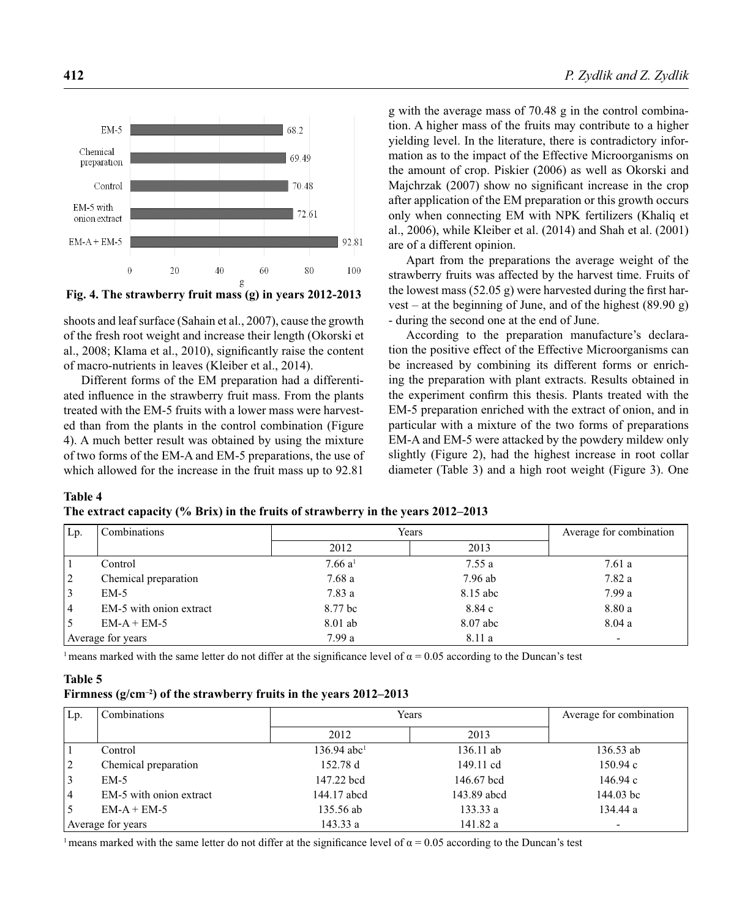

**Fig. 4. The strawberry fruit mass (g) in years 2012-2013**

shoots and leaf surface (Sahain et al., 2007), cause the growth of the fresh root weight and increase their length (Okorski et al., 2008; Klama et al., 2010), significantly raise the content of macro-nutrients in leaves (Kleiber et al., 2014).

Different forms of the EM preparation had a differentiated influence in the strawberry fruit mass. From the plants treated with the EM-5 fruits with a lower mass were harvested than from the plants in the control combination (Figure 4). A much better result was obtained by using the mixture of two forms of the EM-A and EM-5 preparations, the use of which allowed for the increase in the fruit mass up to 92.81

g with the average mass of 70.48 g in the control combination. A higher mass of the fruits may contribute to a higher yielding level. In the literature, there is contradictory information as to the impact of the Effective Microorganisms on the amount of crop. Piskier (2006) as well as Okorski and Majchrzak  $(2007)$  show no significant increase in the crop after application of the EM preparation or this growth occurs only when connecting EM with NPK fertilizers (Khaliq et al., 2006), while Kleiber et al. (2014) and Shah et al. (2001) are of a different opinion.

Apart from the preparations the average weight of the strawberry fruits was affected by the harvest time. Fruits of the lowest mass  $(52.05 \text{ g})$  were harvested during the first harvest – at the beginning of June, and of the highest (89.90 g) - during the second one at the end of June.

According to the preparation manufacture's declaration the positive effect of the Effective Microorganisms can be increased by combining its different forms or enriching the preparation with plant extracts. Results obtained in the experiment confirm this thesis. Plants treated with the EM-5 preparation enriched with the extract of onion, and in particular with a mixture of the two forms of preparations EM-A and EM-5 were attacked by the powdery mildew only slightly (Figure 2), had the highest increase in root collar diameter (Table 3) and a high root weight (Figure 3). One

### **Table 4**

| The extract capacity (% Brix) in the fruits of strawberry in the years 2012–2013 |  |  |  |  |
|----------------------------------------------------------------------------------|--|--|--|--|
|----------------------------------------------------------------------------------|--|--|--|--|

| Lp. | Combinations            | Years               |          | Average for combination  |
|-----|-------------------------|---------------------|----------|--------------------------|
|     |                         | 2012                | 2013     |                          |
|     | Control                 | 7.66 a <sup>1</sup> | 7.55a    | 7.61a                    |
| 2   | Chemical preparation    | 7.68a               | 7.96 ab  | 7.82 a                   |
| 3   | $EM-5$                  | 7.83 a              | 8.15 abc | 7.99a                    |
| 4   | EM-5 with onion extract | 8.77 bc             | 8.84 c   | 8.80 a                   |
|     | $EM-A + EM-5$           | 8.01 ab             | 8.07 abc | 8.04a                    |
|     | Average for years       | 7.99a               | 8.11 a   | $\overline{\phantom{0}}$ |

<sup>1</sup> means marked with the same letter do not differ at the significance level of  $\alpha$  = 0.05 according to the Duncan's test

#### **Table 5**

#### **Firmness (g/cm–2) of the strawberry fruits in the years 2012–2013**

| Lp.            | Combinations            |                           | Years       |                          |
|----------------|-------------------------|---------------------------|-------------|--------------------------|
|                |                         | 2012                      | 2013        |                          |
|                | Control                 | $136.94$ abc <sup>1</sup> | 136.11 ab   | 136.53 ab                |
| $\overline{2}$ | Chemical preparation    | 152.78 d                  | 149.11 cd   | 150.94c                  |
| 3              | $EM-5$                  | 147.22 bcd                | 146.67 bcd  | 146.94c                  |
| 4              | EM-5 with onion extract | 144.17 abcd               | 143.89 abcd | 144.03 bc                |
| . 5            | $EM-A + EM-5$           | 135.56 ab                 | 133.33a     | 134.44 a                 |
|                | Average for years       | 143.33a                   | 141.82 a    | $\overline{\phantom{0}}$ |

<sup>1</sup> means marked with the same letter do not differ at the significance level of  $\alpha = 0.05$  according to the Duncan's test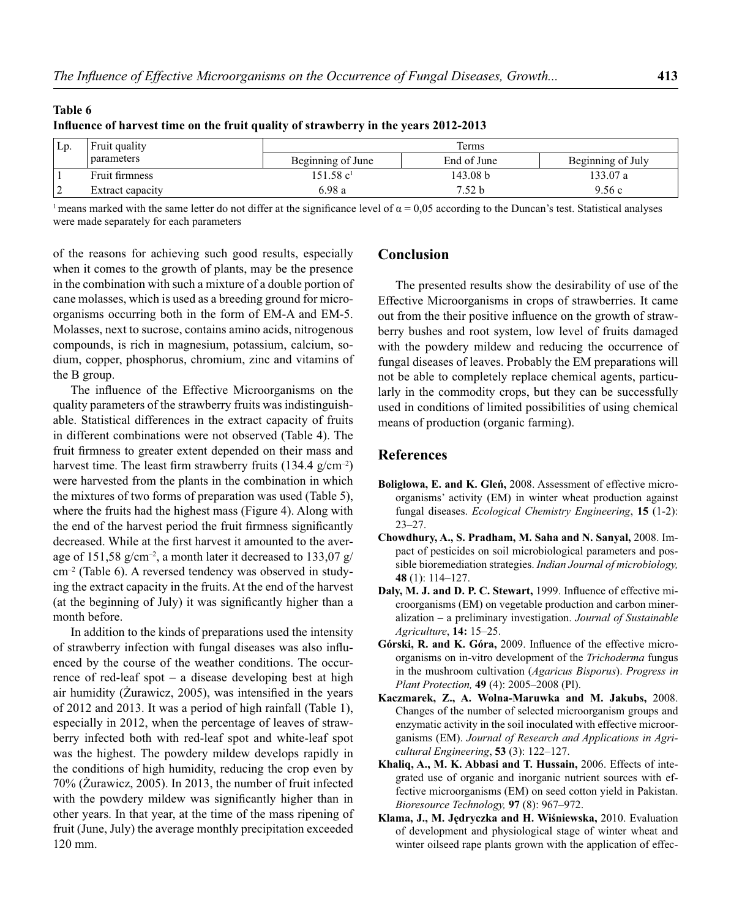| Lp. | Fruit quality    | Terms                 |             |                   |  |
|-----|------------------|-----------------------|-------------|-------------------|--|
|     | parameters       | Beginning of June     | End of June | Beginning of July |  |
|     | Fruit firmness   | 151.58 c <sup>1</sup> | 143.08 b    | 133.07 a          |  |
|     | Extract capacity | 6.98a                 | 7.52 b      | 9.56c             |  |

# **Table 6** Influence of harvest time on the fruit quality of strawberry in the years 2012-2013

<sup>1</sup> means marked with the same letter do not differ at the significance level of  $\alpha$  = 0.05 according to the Duncan's test. Statistical analyses were made separately for each parameters

of the reasons for achieving such good results, especially when it comes to the growth of plants, may be the presence in the combination with such a mixture of a double portion of cane molasses, which is used as a breeding ground for microorganisms occurring both in the form of EM-A and EM-5. Molasses, next to sucrose, contains amino acids, nitrogenous compounds, is rich in magnesium, potassium, calcium, sodium, copper, phosphorus, chromium, zinc and vitamins of the B group.

The influence of the Effective Microorganisms on the quality parameters of the strawberry fruits was indistinguishable. Statistical differences in the extract capacity of fruits in different combinations were not observed (Table 4). The fruit firmness to greater extent depended on their mass and harvest time. The least firm strawberry fruits  $(134.4 \text{ g/cm}^{-2})$ were harvested from the plants in the combination in which the mixtures of two forms of preparation was used (Table 5), where the fruits had the highest mass (Figure 4). Along with the end of the harvest period the fruit firmness significantly decreased. While at the first harvest it amounted to the average of 151,58 g/cm<sup>-2</sup>, a month later it decreased to 133,07 g/ cm–2 (Table 6). A reversed tendency was observed in studying the extract capacity in the fruits. At the end of the harvest (at the beginning of July) it was significantly higher than a month before.

In addition to the kinds of preparations used the intensity of strawberry infection with fungal diseases was also influenced by the course of the weather conditions. The occurrence of red-leaf spot – a disease developing best at high air humidity ( $\dot{Z}$ urawicz, 2005), was intensified in the years of 2012 and 2013. It was a period of high rainfall (Table 1), especially in 2012, when the percentage of leaves of strawberry infected both with red-leaf spot and white-leaf spot was the highest. The powdery mildew develops rapidly in the conditions of high humidity, reducing the crop even by 70% (Żurawicz, 2005). In 2013, the number of fruit infected with the powdery mildew was significantly higher than in other years. In that year, at the time of the mass ripening of fruit (June, July) the average monthly precipitation exceeded 120 mm.

# **Conclusion**

The presented results show the desirability of use of the Effective Microorganisms in crops of strawberries. It came out from the their positive influence on the growth of strawberry bushes and root system, low level of fruits damaged with the powdery mildew and reducing the occurrence of fungal diseases of leaves. Probably the EM preparations will not be able to completely replace chemical agents, particularly in the commodity crops, but they can be successfully used in conditions of limited possibilities of using chemical means of production (organic farming).

## **References**

- **Boligłowa, E. and K. Gleń,** 2008. Assessment of effective microorganisms' activity (EM) in winter wheat production against fungal diseases. *Ecological Chemistry Engineering*, **15** (1-2): 23–27.
- **Chowdhury, A., S. Pradham, M. Saha and N. Sanyal,** 2008. Impact of pesticides on soil microbiological parameters and possible bioremediation strategies. *Indian Journal of microbiology,* **48** (1): 114–127.
- **Daly, M. J. and D. P. C. Stewart, 1999.** Influence of effective microorganisms (EM) on vegetable production and carbon mineralization – a preliminary investigation. *Journal of Sustainable Agriculture*, **14:** 15–25.
- Górski, R. and K. Góra, 2009. Influence of the effective microorganisms on in-vitro development of the *Trichoderma* fungus in the mushroom cultivation (*Agaricus Bisporus*). *Progress in Plant Protection,* **49** (4): 2005–2008 (Pl).
- **Kaczmarek, Z., A. Wolna-Maruwka and M. Jakubs,** 2008. Changes of the number of selected microorganism groups and enzymatic activity in the soil inoculated with effective microorganisms (EM). *Journal of Research and Applications in Agricultural Engineering*, **53** (3): 122–127.
- **Khaliq, A., M. K. Abbasi and T. Hussain,** 2006. Effects of integrated use of organic and inorganic nutrient sources with effective microorganisms (EM) on seed cotton yield in Pakistan. *Bioresource Technology,* **97** (8): 967–972.
- **Klama, J., M. Jędryczka and H. Wiśniewska,** 2010. Evaluation of development and physiological stage of winter wheat and winter oilseed rape plants grown with the application of effec-